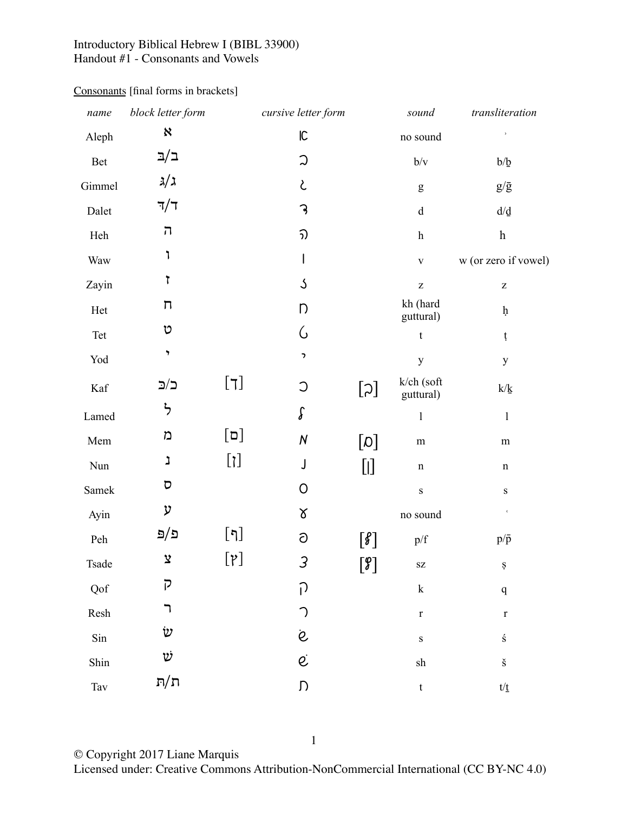## Introductory Biblical Hebrew I (BIBL 33900) Handout #1 - Consonants and Vowels

| name                                  | block letter form       |                                   | cursive letter form |                                                                               | sound                                                 | transliteration                                |
|---------------------------------------|-------------------------|-----------------------------------|---------------------|-------------------------------------------------------------------------------|-------------------------------------------------------|------------------------------------------------|
| Aleph                                 | X                       |                                   | ${\sf IC}$          |                                                                               | no sound                                              | $\,$                                           |
| $\mbox{Bet}$                          | ב/ב                     |                                   | $\mathfrak{D}$      |                                                                               | $b/v$                                                 | $b/b$                                          |
| Gimmel                                | 3/3                     |                                   | L                   |                                                                               | ${\sf g}$                                             | $g/\bar{g}$                                    |
| Dalet                                 | $\nabla/\tau$           |                                   | 3                   |                                                                               | $\rm d$                                               | $d/\underline{d}$                              |
| Heh                                   | ה                       |                                   | ิวว                 |                                                                               | $\boldsymbol{\textbf{h}}$                             | $\boldsymbol{\textbf{h}}$                      |
| Waw                                   | ٦                       |                                   | I                   |                                                                               | $\mathbf V$                                           | w (or zero if vowel)                           |
| Zayin                                 | 1                       |                                   | $\mathcal{S}$       |                                                                               | $\mathbf{Z}% ^{T}=\mathbf{Z}^{T}\times\mathbf{Z}^{T}$ | $\mathbf{Z}% ^{t}\left( \mathbf{Z}_{1}\right)$ |
| $\operatorname*{Het}% \mathcal{M}(n)$ | Π                       |                                   | Ŋ                   |                                                                               | kh (hard<br>guttural)                                 | $\boldsymbol{\mathsf{h}}$                      |
| Tet                                   | υ                       |                                   | G                   |                                                                               | $\mathbf t$                                           | ţ                                              |
| ${\rm Yod}$                           | ,                       |                                   | $\,$                |                                                                               | $\mathbf y$                                           | $\mathbf{y}$                                   |
| $\operatorname{Kaf}$                  | ב/ב                     | $\begin{bmatrix} 7 \end{bmatrix}$ | $\circ$             | $[\varsigma]$                                                                 | k/ch (soft<br>guttural)                               | $k/\underline{k}$                              |
| Lamed                                 | ら                       |                                   | $\int$              |                                                                               | $\mathbf{l}$                                          | $\mathbf{I}$                                   |
| Mem                                   | מ                       | $[\Box]$                          | ${\cal N}$          | [0]                                                                           | ${\rm m}$                                             | ${\rm m}$                                      |
| $\mbox{Nun}$                          | נ                       | $[\mathfrak{z}]$                  | J                   | $[]$                                                                          | $\mathbf n$                                           | $\mathbf n$                                    |
| Samek                                 | $\overline{\mathsf{C}}$ |                                   | 0                   |                                                                               | ${\bf S}$                                             | ${\bf S}$                                      |
| Ayin                                  | ע                       |                                   | δ                   |                                                                               | no sound                                              | $\epsilon$                                     |
| $\ensuremath{\text{Peh}}$             | פ/פּ                    | $[\eta]$                          | ට                   | $[\mathcal{S}]$                                                               | p/f                                                   | $p/\bar{p}$                                    |
| Tsade                                 | $\mathbf{\hat{z}}$      | $[\gamma]$                        | 3                   | $\left[\begin{smallmatrix}\mathcal{G} \\ \mathcal{S}\end{smallmatrix}\right]$ | $\mathbf{S}\mathbf{Z}$                                | ${\bf S}$                                      |
| Qof                                   | ק                       |                                   | $\bigcap$           |                                                                               | ${\bf k}$                                             | $\mathbf q$                                    |
| Resh                                  | ר                       |                                   | $\bigcap$           |                                                                               | $\mathbf r$                                           | $\mathbf r$                                    |
| Sin                                   | $\dot{\textit{v}}$      |                                   | $\dot{\mathcal{C}}$ |                                                                               | ${\bf S}$                                             | $\acute{\textrm{s}}$                           |
| Shin                                  | Ü                       |                                   | $\dot{\mathcal{C}}$ |                                                                               | ${\rm sh}$                                            | $\check{\mathbf{S}}$                           |
| $\operatorname{Tav}$                  | $\pi/\pi$               |                                   | $\mathsf D$         |                                                                               | $\ensuremath{\mathbf{t}}$                             | $t/\underline{t}$                              |

## Consonants [final forms in brackets]

© Copyright 2017 Liane Marquis

Licensed under: Creative Commons Attribution-NonCommercial International (CC BY-NC 4.0)